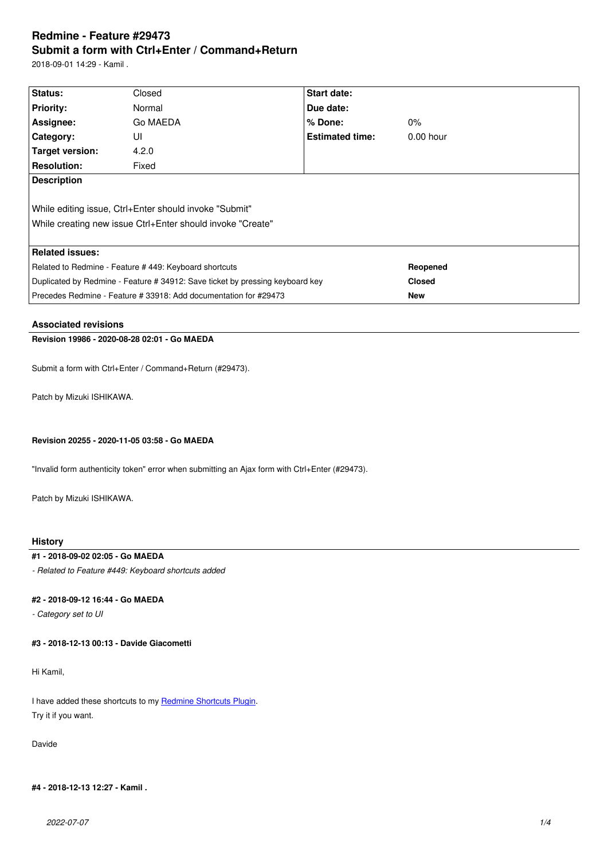#### **Submit a form with Ctrl+Enter / Command+Return**

2018-09-01 14:29 - Kamil .

| Status:                                                                                                              | Closed   | Start date:            |             |  |  |
|----------------------------------------------------------------------------------------------------------------------|----------|------------------------|-------------|--|--|
| <b>Priority:</b>                                                                                                     | Normal   | Due date:              |             |  |  |
| Assignee:                                                                                                            | Go MAEDA | $%$ Done:              | $0\%$       |  |  |
| <b>Category:</b>                                                                                                     | UI       | <b>Estimated time:</b> | $0.00$ hour |  |  |
| Target version:                                                                                                      | 4.2.0    |                        |             |  |  |
| <b>Resolution:</b>                                                                                                   | Fixed    |                        |             |  |  |
| <b>Description</b>                                                                                                   |          |                        |             |  |  |
| While editing issue, Ctrl+Enter should invoke "Submit"<br>While creating new issue Ctrl+Enter should invoke "Create" |          |                        |             |  |  |
|                                                                                                                      |          |                        |             |  |  |
| <b>Related issues:</b>                                                                                               |          |                        |             |  |  |
| Related to Redmine - Feature # 449: Keyboard shortcuts                                                               |          |                        | Reopened    |  |  |
| Duplicated by Redmine - Feature # 34912: Save ticket by pressing keyboard key                                        |          | <b>Closed</b>          |             |  |  |
| Precedes Redmine - Feature # 33918: Add documentation for #29473                                                     |          | <b>New</b>             |             |  |  |

# **Associated revisions**

### **Revision 19986 - 2020-08-28 02:01 - Go MAEDA**

Submit a form with Ctrl+Enter / Command+Return (#29473).

Patch by Mizuki ISHIKAWA.

### **Revision 20255 - 2020-11-05 03:58 - Go MAEDA**

"Invalid form authenticity token" error when submitting an Ajax form with Ctrl+Enter (#29473).

Patch by Mizuki ISHIKAWA.

# **History**

# **#1 - 2018-09-02 02:05 - Go MAEDA**

*- Related to Feature #449: Keyboard shortcuts added*

### **#2 - 2018-09-12 16:44 - Go MAEDA**

*- Category set to UI*

**#3 - 2018-12-13 00:13 - Davide Giacometti**

Hi Kamil,

I have added these shortcuts to my **Redmine Shortcuts Plugin**. Try it if you want.

Davide

**#4 - 2018-12-13 12:27 - Kamil .**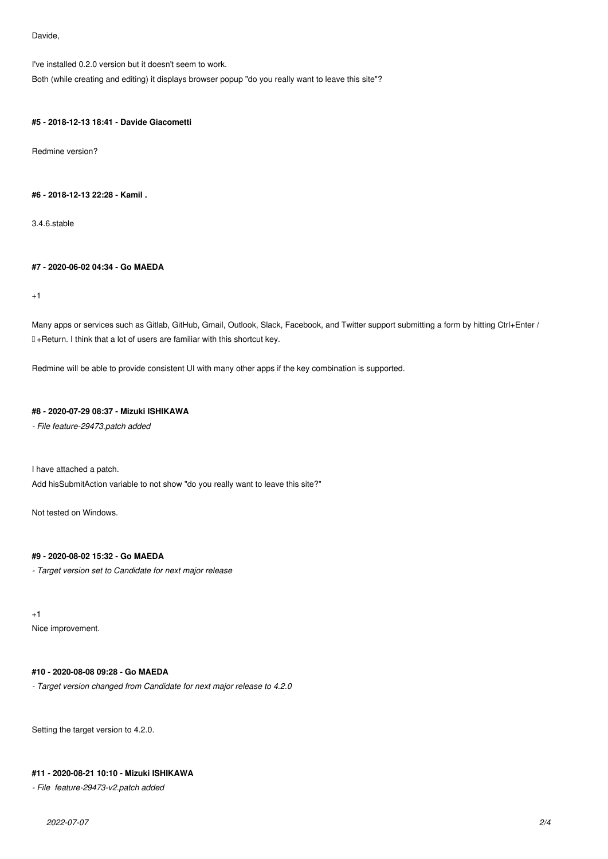Davide,

I've installed 0.2.0 version but it doesn't seem to work.

Both (while creating and editing) it displays browser popup "do you really want to leave this site"?

#### **#5 - 2018-12-13 18:41 - Davide Giacometti**

Redmine version?

### **#6 - 2018-12-13 22:28 - Kamil .**

3.4.6.stable

## **#7 - 2020-06-02 04:34 - Go MAEDA**

+1

Many apps or services such as Gitlab, GitHub, Gmail, Outlook, Slack, Facebook, and Twitter support submitting a form by hitting Ctrl+Enter / ⌘+Return. I think that a lot of users are familiar with this shortcut key.

Redmine will be able to provide consistent UI with many other apps if the key combination is supported.

# **#8 - 2020-07-29 08:37 - Mizuki ISHIKAWA**

*- File feature-29473.patch added*

I have attached a patch.

Add hisSubmitAction variable to not show "do you really want to leave this site?"

Not tested on Windows.

# **#9 - 2020-08-02 15:32 - Go MAEDA**

*- Target version set to Candidate for next major release*

+1

Nice improvement.

# **#10 - 2020-08-08 09:28 - Go MAEDA**

*- Target version changed from Candidate for next major release to 4.2.0*

Setting the target version to 4.2.0.

# **#11 - 2020-08-21 10:10 - Mizuki ISHIKAWA**

*- File feature-29473-v2.patch added*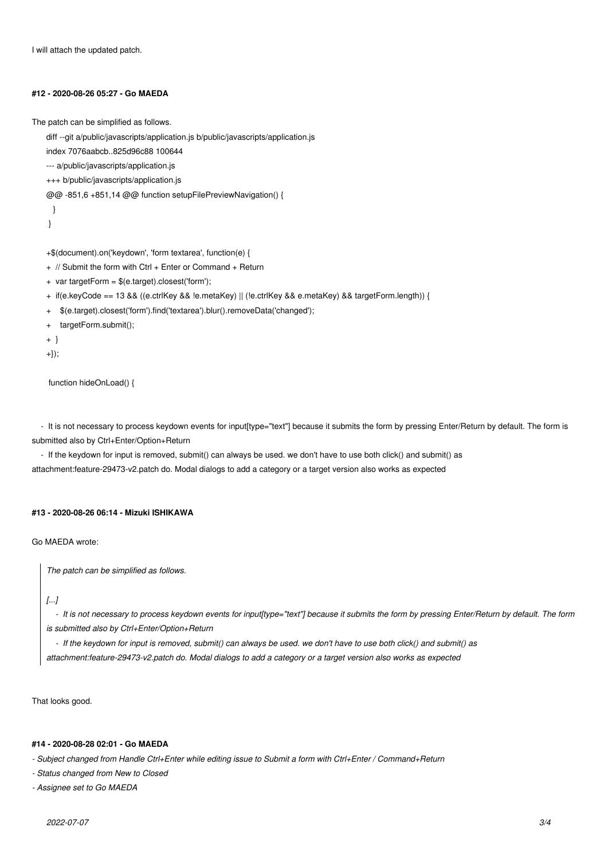I will attach the updated patch.

#### **#12 - 2020-08-26 05:27 - Go MAEDA**

The patch can be simplified as follows.

diff --git a/public/javascripts/application.js b/public/javascripts/application.js

index 7076aabcb..825d96c88 100644

- --- a/public/javascripts/application.js
- +++ b/public/javascripts/application.js

@@ -851,6 +851,14 @@ function setupFilePreviewNavigation() {

- }
- }

+\$(document).on('keydown', 'form textarea', function(e) {

- + // Submit the form with Ctrl + Enter or Command + Return
- + var targetForm = \$(e.target).closest('form');
- + if(e.keyCode == 13 && ((e.ctrlKey && !e.metaKey) || (!e.ctrlKey && e.metaKey) && targetForm.length)) {
- + \$(e.target).closest('form').find('textarea').blur().removeData('changed');
- targetForm.submit();
- + }
- +});

function hideOnLoad() {

- It is not necessary to process keydown events for input[type="text"] because it submits the form by pressing Enter/Return by default. The form is submitted also by Ctrl+Enter/Option+Return

 - If the keydown for input is removed, submit() can always be used. we don't have to use both click() and submit() as attachment:feature-29473-v2.patch do. Modal dialogs to add a category or a target version also works as expected

#### **#13 - 2020-08-26 06:14 - Mizuki ISHIKAWA**

Go MAEDA wrote:

*The patch can be simplified as follows.*

### *[...]*

 *- It is not necessary to process keydown events for input[type="text"] because it submits the form by pressing Enter/Return by default. The form is submitted also by Ctrl+Enter/Option+Return*

 *- If the keydown for input is removed, submit() can always be used. we don't have to use both click() and submit() as*

*attachment:feature-29473-v2.patch do. Modal dialogs to add a category or a target version also works as expected*

That looks good.

#### **#14 - 2020-08-28 02:01 - Go MAEDA**

*- Subject changed from Handle Ctrl+Enter while editing issue to Submit a form with Ctrl+Enter / Command+Return*

*- Status changed from New to Closed*

*- Assignee set to Go MAEDA*